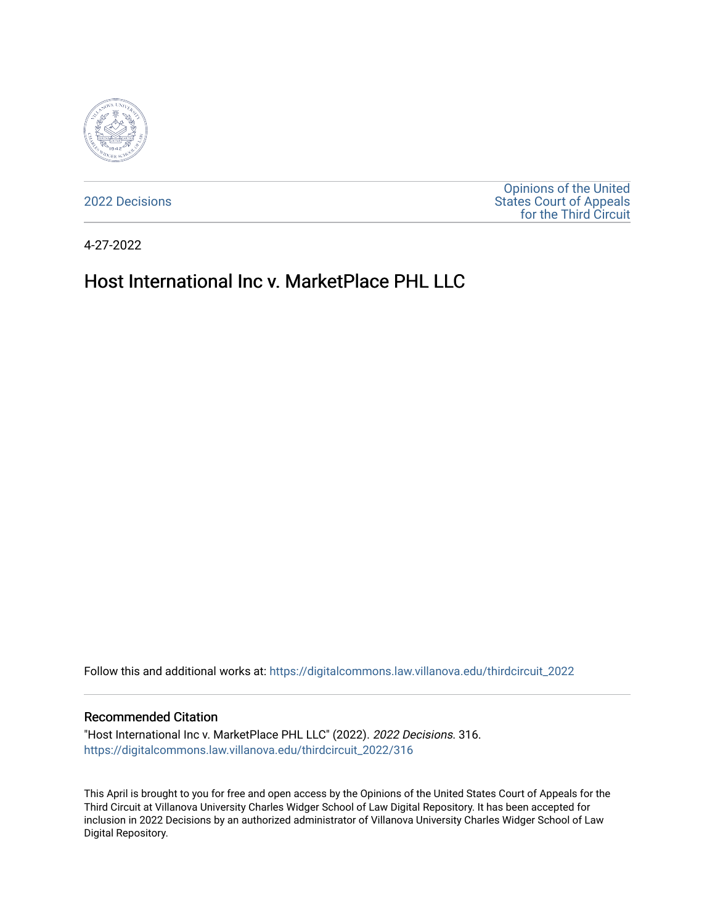

[2022 Decisions](https://digitalcommons.law.villanova.edu/thirdcircuit_2022)

[Opinions of the United](https://digitalcommons.law.villanova.edu/thirdcircuit)  [States Court of Appeals](https://digitalcommons.law.villanova.edu/thirdcircuit)  [for the Third Circuit](https://digitalcommons.law.villanova.edu/thirdcircuit) 

4-27-2022

# Host International Inc v. MarketPlace PHL LLC

Follow this and additional works at: [https://digitalcommons.law.villanova.edu/thirdcircuit\\_2022](https://digitalcommons.law.villanova.edu/thirdcircuit_2022?utm_source=digitalcommons.law.villanova.edu%2Fthirdcircuit_2022%2F316&utm_medium=PDF&utm_campaign=PDFCoverPages) 

#### Recommended Citation

"Host International Inc v. MarketPlace PHL LLC" (2022). 2022 Decisions. 316. [https://digitalcommons.law.villanova.edu/thirdcircuit\\_2022/316](https://digitalcommons.law.villanova.edu/thirdcircuit_2022/316?utm_source=digitalcommons.law.villanova.edu%2Fthirdcircuit_2022%2F316&utm_medium=PDF&utm_campaign=PDFCoverPages)

This April is brought to you for free and open access by the Opinions of the United States Court of Appeals for the Third Circuit at Villanova University Charles Widger School of Law Digital Repository. It has been accepted for inclusion in 2022 Decisions by an authorized administrator of Villanova University Charles Widger School of Law Digital Repository.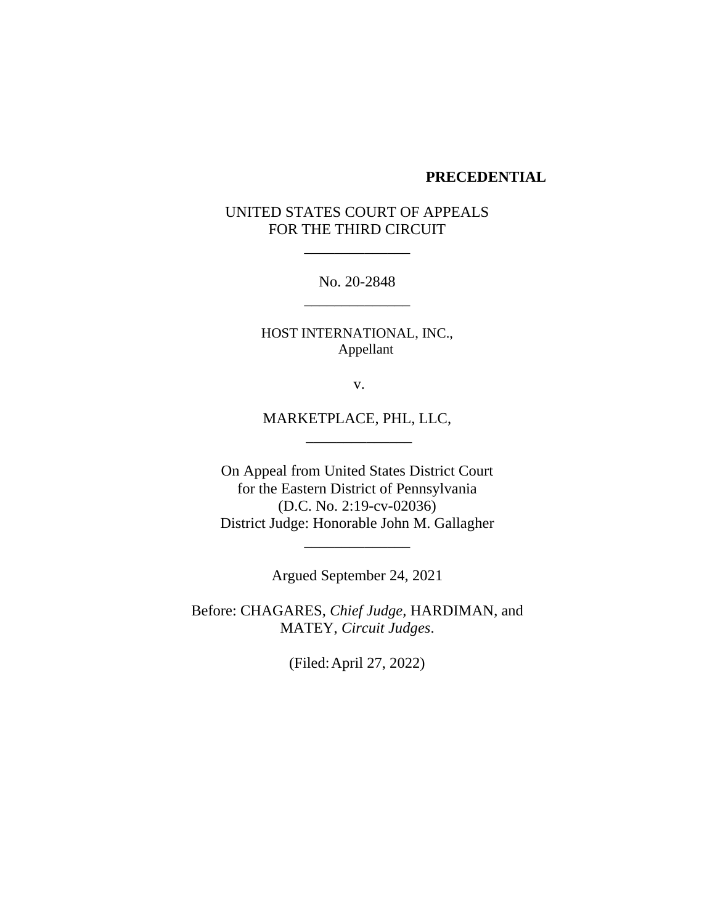#### **PRECEDENTIAL**

# UNITED STATES COURT OF APPEALS FOR THE THIRD CIRCUIT

\_\_\_\_\_\_\_\_\_\_\_\_\_\_

No. 20-2848 \_\_\_\_\_\_\_\_\_\_\_\_\_\_

HOST INTERNATIONAL, INC., Appellant

v.

MARKETPLACE, PHL, LLC, \_\_\_\_\_\_\_\_\_\_\_\_\_\_

On Appeal from United States District Court for the Eastern District of Pennsylvania (D.C. No. 2:19-cv-02036) District Judge: Honorable John M. Gallagher

Argued September 24, 2021

\_\_\_\_\_\_\_\_\_\_\_\_\_\_

Before: CHAGARES, *Chief Judge,* HARDIMAN, and MATEY, *Circuit Judges*.

(Filed:April 27, 2022)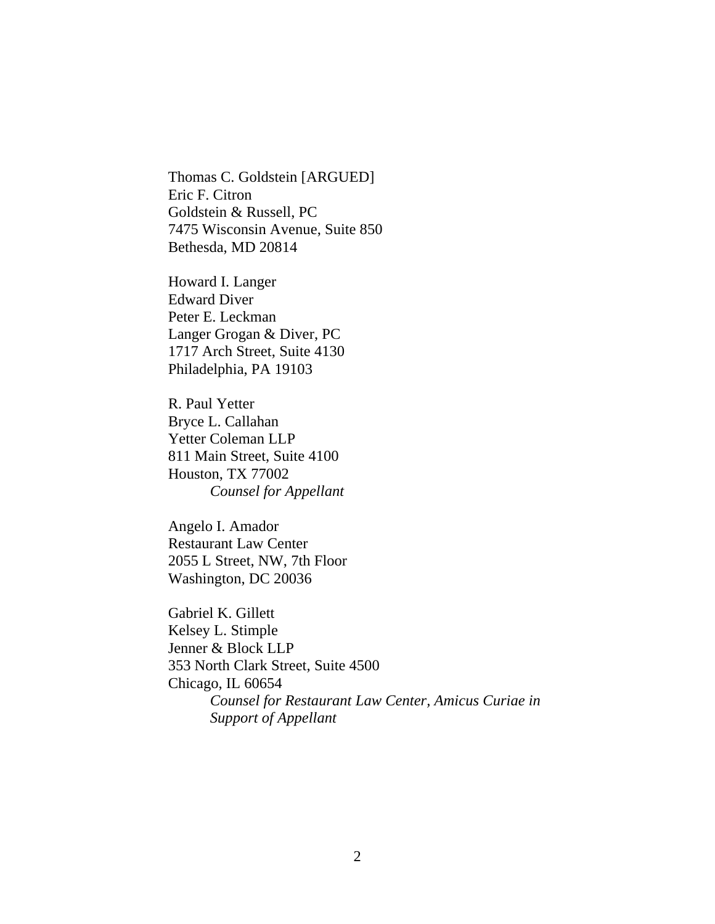Thomas C. Goldstein [ARGUED] Eric F. Citron Goldstein & Russell, PC 7475 Wisconsin Avenue, Suite 850 Bethesda, MD 20814

Howard I. Langer Edward Diver Peter E. Leckman Langer Grogan & Diver, PC 1717 Arch Street, Suite 4130 Philadelphia, PA 19103

R. Paul Yetter Bryce L. Callahan Yetter Coleman LLP 811 Main Street, Suite 4100 Houston, TX 77002 *Counsel for Appellant*

Angelo I. Amador Restaurant Law Center 2055 L Street, NW, 7th Floor Washington, DC 20036

Gabriel K. Gillett Kelsey L. Stimple Jenner & Block LLP 353 North Clark Street, Suite 4500 Chicago, IL 60654 *Counsel for Restaurant Law Center, Amicus Curiae in Support of Appellant*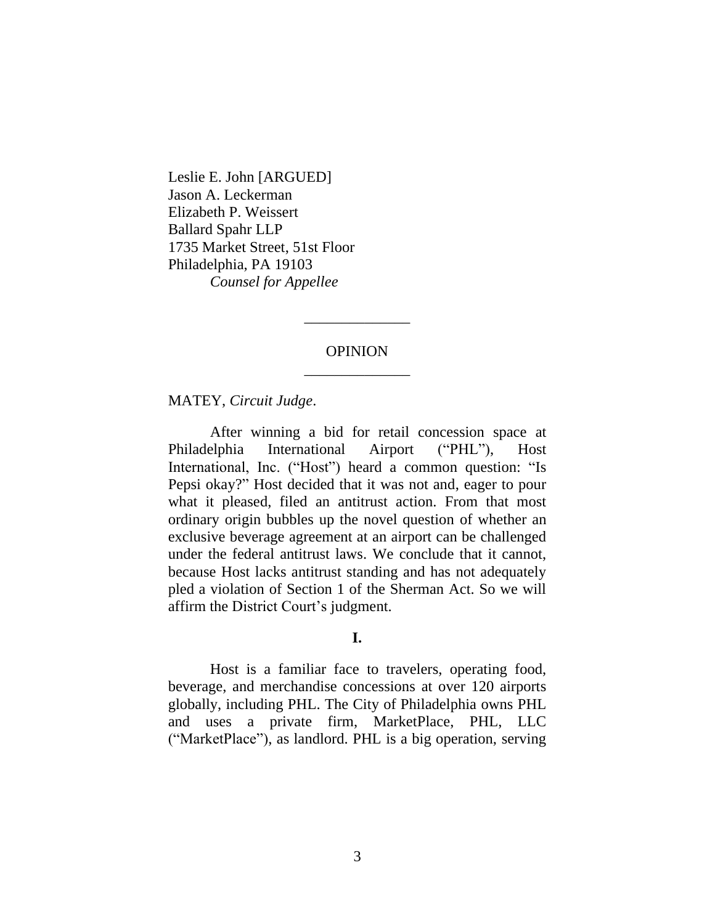Leslie E. John [ARGUED] Jason A. Leckerman Elizabeth P. Weissert Ballard Spahr LLP 1735 Market Street, 51st Floor Philadelphia, PA 19103 *Counsel for Appellee*

# OPINION \_\_\_\_\_\_\_\_\_\_\_\_\_\_

\_\_\_\_\_\_\_\_\_\_\_\_\_\_

MATEY, *Circuit Judge*.

After winning a bid for retail concession space at Philadelphia International Airport ("PHL"), Host International, Inc. ("Host") heard a common question: "Is Pepsi okay?" Host decided that it was not and, eager to pour what it pleased, filed an antitrust action. From that most ordinary origin bubbles up the novel question of whether an exclusive beverage agreement at an airport can be challenged under the federal antitrust laws. We conclude that it cannot, because Host lacks antitrust standing and has not adequately pled a violation of Section 1 of the Sherman Act. So we will affirm the District Court's judgment.

#### **I.**

Host is a familiar face to travelers, operating food, beverage, and merchandise concessions at over 120 airports globally, including PHL. The City of Philadelphia owns PHL and uses a private firm, MarketPlace, PHL, LLC ("MarketPlace"), as landlord. PHL is a big operation, serving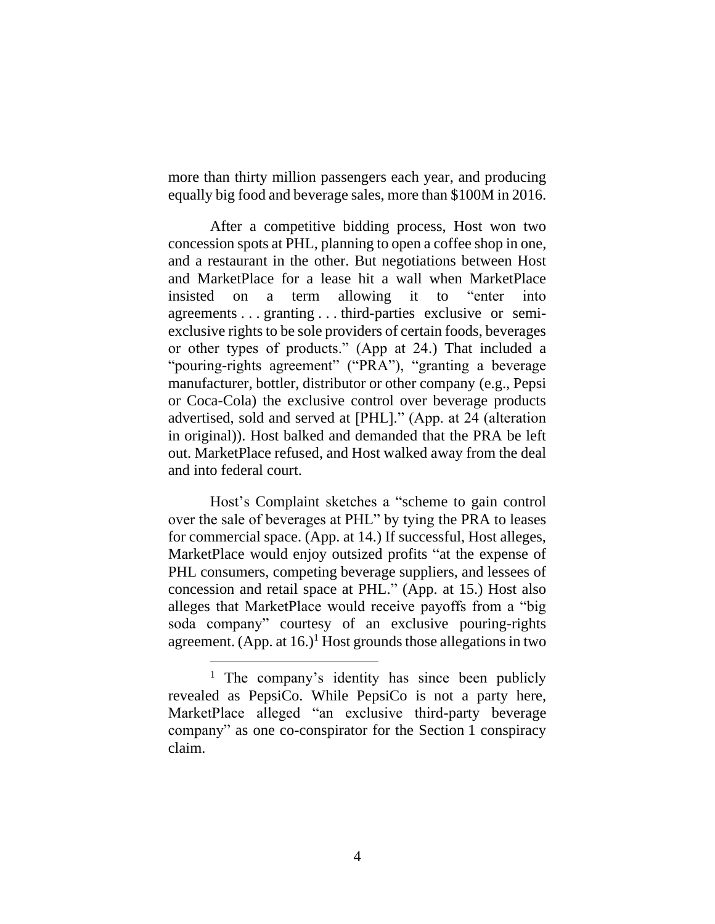more than thirty million passengers each year, and producing equally big food and beverage sales, more than \$100M in 2016.

After a competitive bidding process, Host won two concession spots at PHL, planning to open a coffee shop in one, and a restaurant in the other. But negotiations between Host and MarketPlace for a lease hit a wall when MarketPlace insisted on a term allowing it to "enter into agreements . . . granting . . . third-parties exclusive or semiexclusive rights to be sole providers of certain foods, beverages or other types of products." (App at 24.) That included a "pouring-rights agreement" ("PRA"), "granting a beverage manufacturer, bottler, distributor or other company (e.g., Pepsi or Coca-Cola) the exclusive control over beverage products advertised, sold and served at [PHL]." (App. at 24 (alteration in original)). Host balked and demanded that the PRA be left out. MarketPlace refused, and Host walked away from the deal and into federal court.

Host's Complaint sketches a "scheme to gain control over the sale of beverages at PHL" by tying the PRA to leases for commercial space. (App. at 14.) If successful, Host alleges, MarketPlace would enjoy outsized profits "at the expense of PHL consumers, competing beverage suppliers, and lessees of concession and retail space at PHL." (App. at 15.) Host also alleges that MarketPlace would receive payoffs from a "big soda company" courtesy of an exclusive pouring-rights agreement. (App. at  $16.$ )<sup>1</sup> Host grounds those allegations in two

<sup>&</sup>lt;sup>1</sup> The company's identity has since been publicly revealed as PepsiCo. While PepsiCo is not a party here, MarketPlace alleged "an exclusive third-party beverage company" as one co-conspirator for the Section 1 conspiracy claim.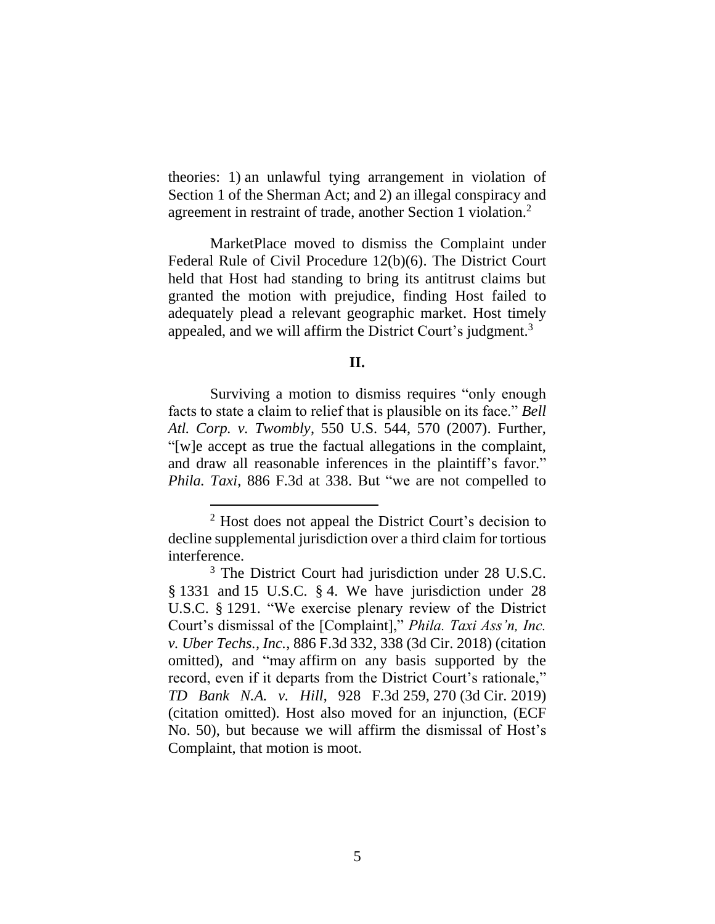theories: 1) an unlawful tying arrangement in violation of Section 1 of the Sherman Act; and 2) an illegal conspiracy and agreement in restraint of trade, another Section 1 violation. 2

MarketPlace moved to dismiss the Complaint under Federal Rule of Civil Procedure 12(b)(6). The District Court held that Host had standing to bring its antitrust claims but granted the motion with prejudice, finding Host failed to adequately plead a relevant geographic market. Host timely appealed, and we will affirm the District Court's judgment.<sup>3</sup>

## **II.**

Surviving a motion to dismiss requires "only enough facts to state a claim to relief that is plausible on its face." *Bell Atl. Corp. v. Twombly*, 550 U.S. 544, 570 (2007). Further, "[w]e accept as true the factual allegations in the complaint, and draw all reasonable inferences in the plaintiff's favor." *Phila. Taxi*, 886 F.3d at 338. But "we are not compelled to

<sup>2</sup> Host does not appeal the District Court's decision to decline supplemental jurisdiction over a third claim for tortious interference.

<sup>3</sup> The District Court had jurisdiction under 28 U.S.C. § 1331 and 15 U.S.C. § 4. We have jurisdiction under 28 U.S.C. § 1291. "We exercise plenary review of the District Court's dismissal of the [Complaint]," *Phila. Taxi Ass'n, Inc. v. Uber Techs., Inc.*, 886 F.3d 332, 338 (3d Cir. 2018) (citation omitted), and "may affirm on any basis supported by the record, even if it departs from the District Court's rationale," *TD Bank N.A. v. Hill*, 928 F.3d 259, 270 (3d Cir. 2019) (citation omitted). Host also moved for an injunction, (ECF No. 50), but because we will affirm the dismissal of Host's Complaint, that motion is moot.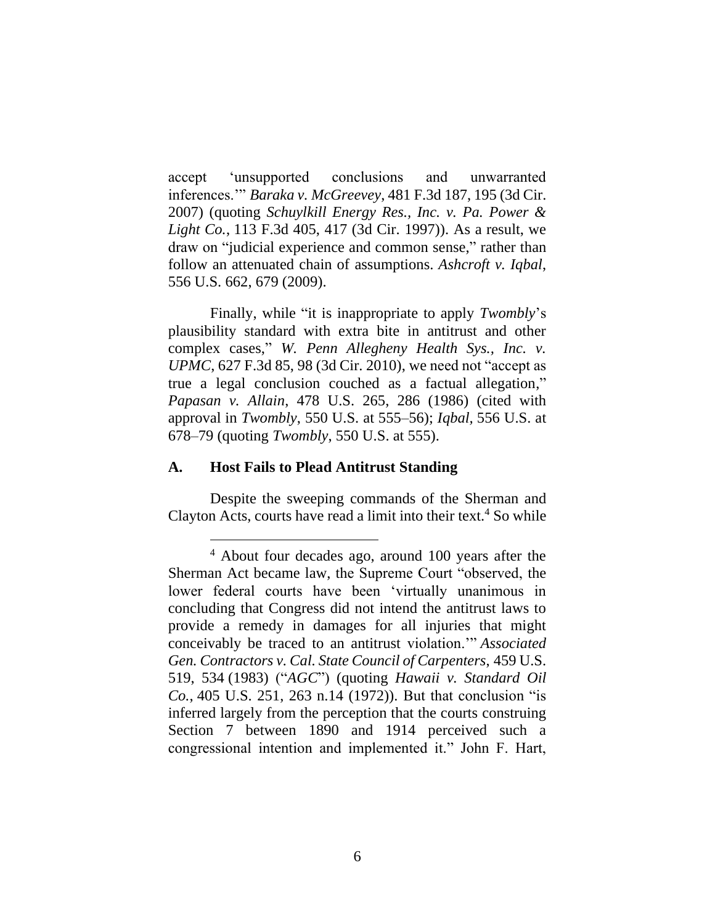accept 'unsupported conclusions and unwarranted inferences.'" *Baraka v. McGreevey*, 481 F.3d 187, 195 (3d Cir. 2007) (quoting *Schuylkill Energy Res., Inc. v. Pa. Power & Light Co.*, 113 F.3d 405, 417 (3d Cir. 1997)). As a result, we draw on "judicial experience and common sense," rather than follow an attenuated chain of assumptions. *Ashcroft v. Iqbal*, 556 U.S. 662, 679 (2009).

Finally, while "it is inappropriate to apply *Twombly*'s plausibility standard with extra bite in antitrust and other complex cases," *W. Penn Allegheny Health Sys., Inc. v. UPMC*, 627 F.3d 85, 98 (3d Cir. 2010), we need not "accept as true a legal conclusion couched as a factual allegation," *Papasan v. Allain*, 478 U.S. 265, 286 (1986) (cited with approval in *Twombly*, 550 U.S. at 555–56); *Iqbal,* 556 U.S. at 678–79 (quoting *Twombly*, 550 U.S. at 555).

## **A. Host Fails to Plead Antitrust Standing**

Despite the sweeping commands of the Sherman and Clayton Acts, courts have read a limit into their text. <sup>4</sup> So while

<sup>4</sup> About four decades ago, around 100 years after the Sherman Act became law, the Supreme Court "observed, the lower federal courts have been 'virtually unanimous in concluding that Congress did not intend the antitrust laws to provide a remedy in damages for all injuries that might conceivably be traced to an antitrust violation.'" *Associated Gen. Contractors v. Cal. State Council of Carpenters*, 459 U.S. 519, 534 (1983) ("*AGC*") (quoting *Hawaii v. Standard Oil Co.*, 405 U.S. 251, 263 n.14 (1972)). But that conclusion "is inferred largely from the perception that the courts construing Section 7 between 1890 and 1914 perceived such a congressional intention and implemented it." John F. Hart,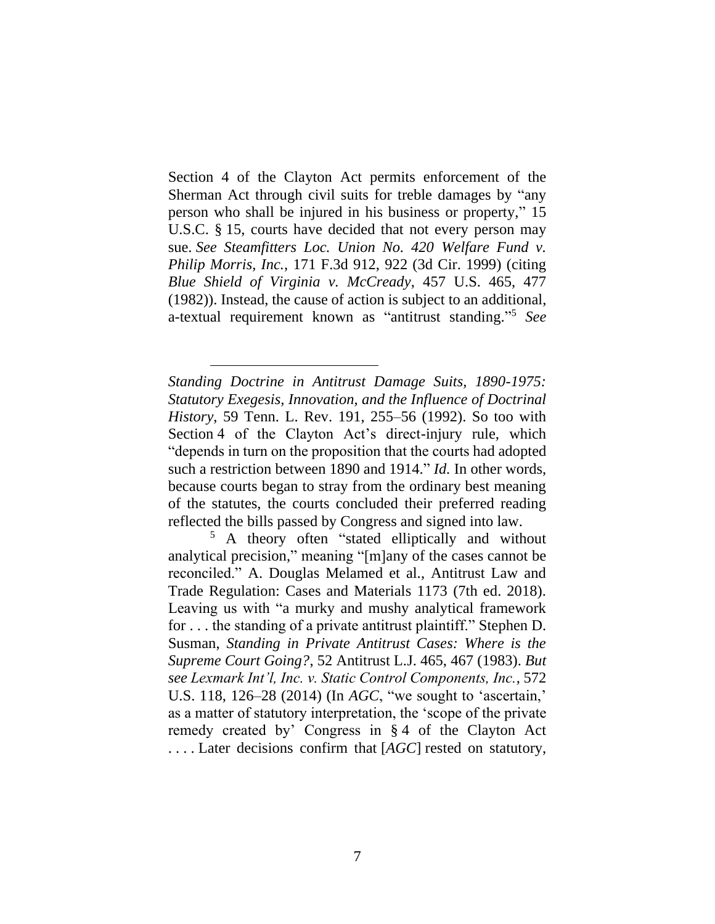Section 4 of the Clayton Act permits enforcement of the Sherman Act through civil suits for treble damages by "any person who shall be injured in his business or property," 15 U.S.C. § 15, courts have decided that not every person may sue. *See Steamfitters Loc. Union No. 420 Welfare Fund v. Philip Morris, Inc.*, 171 F.3d 912, 922 (3d Cir. 1999) (citing *Blue Shield of Virginia v. McCready*, 457 U.S. 465, 477 (1982)). Instead, the cause of action is subject to an additional, a-textual requirement known as "antitrust standing." <sup>5</sup> *See*

*Standing Doctrine in Antitrust Damage Suits, 1890-1975: Statutory Exegesis, Innovation, and the Influence of Doctrinal History*, 59 Tenn. L. Rev. 191, 255–56 (1992). So too with Section 4 of the Clayton Act's direct-injury rule, which "depends in turn on the proposition that the courts had adopted such a restriction between 1890 and 1914." *Id.* In other words, because courts began to stray from the ordinary best meaning of the statutes, the courts concluded their preferred reading reflected the bills passed by Congress and signed into law.

<sup>5</sup> A theory often "stated elliptically and without analytical precision," meaning "[m]any of the cases cannot be reconciled." A. Douglas Melamed et al., Antitrust Law and Trade Regulation: Cases and Materials 1173 (7th ed. 2018). Leaving us with "a murky and mushy analytical framework for . . . the standing of a private antitrust plaintiff." Stephen D. Susman, *Standing in Private Antitrust Cases: Where is the Supreme Court Going?*, 52 Antitrust L.J. 465, 467 (1983). *But see Lexmark Int'l, Inc. v. Static Control Components, Inc.*, 572 U.S. 118, 126–28 (2014) (In *AGC*, "we sought to 'ascertain,' as a matter of statutory interpretation, the 'scope of the private remedy created by' Congress in § 4 of the Clayton Act . . . . Later decisions confirm that [*AGC*] rested on statutory,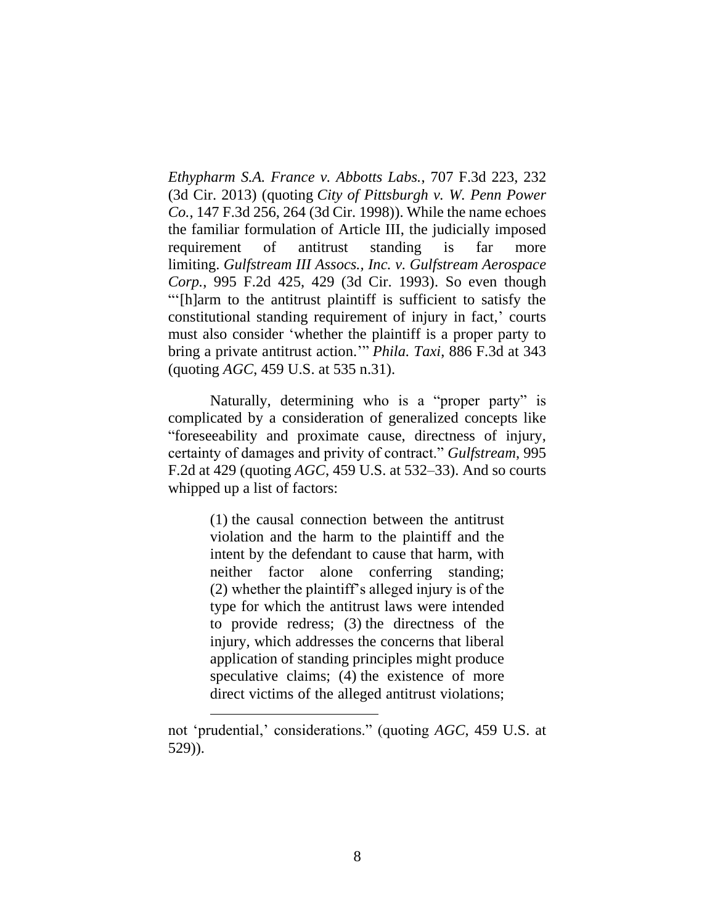*Ethypharm S.A. France v. Abbotts Labs.*, 707 F.3d 223, 232 (3d Cir. 2013) (quoting *City of Pittsburgh v. W. Penn Power Co.*, 147 F.3d 256, 264 (3d Cir. 1998)). While the name echoes the familiar formulation of Article III, the judicially imposed requirement of antitrust standing is far more limiting. *Gulfstream III Assocs., Inc. v. Gulfstream Aerospace Corp.*, 995 F.2d 425, 429 (3d Cir. 1993). So even though "'[h]arm to the antitrust plaintiff is sufficient to satisfy the constitutional standing requirement of injury in fact,' courts must also consider 'whether the plaintiff is a proper party to bring a private antitrust action.'" *Phila. Taxi*, 886 F.3d at 343 (quoting *AGC*, 459 U.S. at 535 n.31).

Naturally, determining who is a "proper party" is complicated by a consideration of generalized concepts like "foreseeability and proximate cause, directness of injury, certainty of damages and privity of contract." *Gulfstream*, 995 F.2d at 429 (quoting *AGC*, 459 U.S. at 532–33). And so courts whipped up a list of factors:

> (1) the causal connection between the antitrust violation and the harm to the plaintiff and the intent by the defendant to cause that harm, with neither factor alone conferring standing; (2) whether the plaintiff's alleged injury is of the type for which the antitrust laws were intended to provide redress; (3) the directness of the injury, which addresses the concerns that liberal application of standing principles might produce speculative claims; (4) the existence of more direct victims of the alleged antitrust violations;

not 'prudential,' considerations." (quoting *AGC*, 459 U.S. at 529)).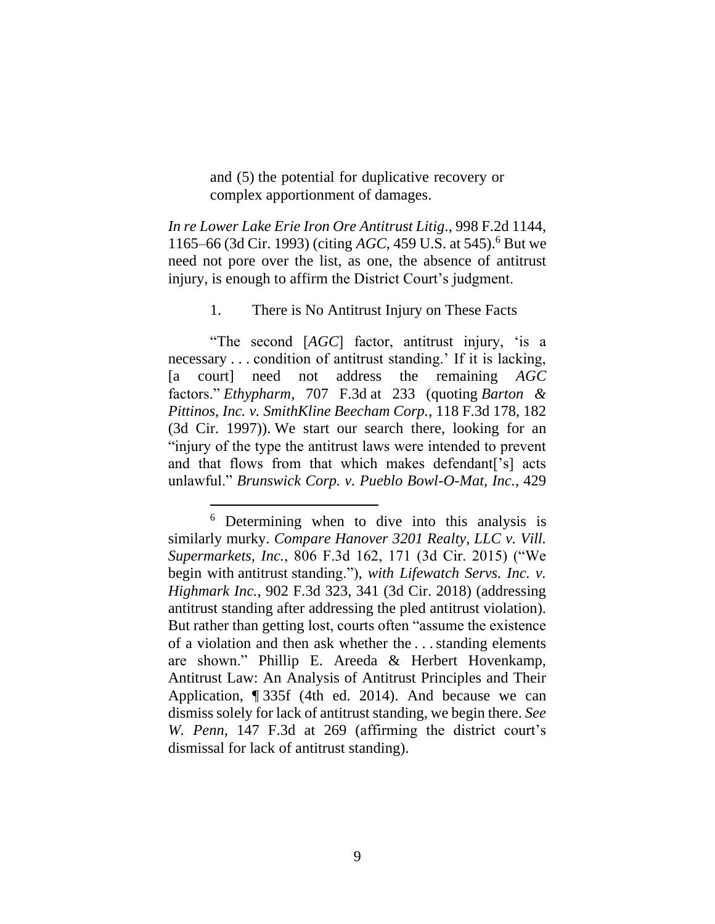and (5) the potential for duplicative recovery or complex apportionment of damages.

*In re Lower Lake Erie Iron Ore Antitrust Litig*., 998 F.2d 1144, 1165–66 (3d Cir. 1993) (citing *AGC*, 459 U.S. at 545). <sup>6</sup> But we need not pore over the list, as one, the absence of antitrust injury, is enough to affirm the District Court's judgment.

1. There is No Antitrust Injury on These Facts

"The second [*AGC*] factor, antitrust injury, 'is a necessary . . . condition of antitrust standing.' If it is lacking, [a court] need not address the remaining *AGC* factors." *Ethypharm*, 707 F.3d at 233 (quoting *Barton & Pittinos, Inc. v. SmithKline Beecham Corp.*, 118 F.3d 178, 182 (3d Cir. 1997)). We start our search there, looking for an "injury of the type the antitrust laws were intended to prevent and that flows from that which makes defendant['s] acts unlawful." *Brunswick Corp. v. Pueblo Bowl-O-Mat, Inc.*, 429

<sup>6</sup> Determining when to dive into this analysis is similarly murky. *Compare Hanover 3201 Realty, LLC v. Vill. Supermarkets, Inc.*, 806 F.3d 162, 171 (3d Cir. 2015) ("We begin with antitrust standing."), *with Lifewatch Servs. Inc. v. Highmark Inc.*, 902 F.3d 323, 341 (3d Cir. 2018) (addressing antitrust standing after addressing the pled antitrust violation). But rather than getting lost, courts often "assume the existence of a violation and then ask whether the . . .standing elements are shown." Phillip E. Areeda & Herbert Hovenkamp, Antitrust Law: An Analysis of Antitrust Principles and Their Application, ¶ 335f (4th ed. 2014). And because we can dismiss solely for lack of antitrust standing, we begin there. *See W. Penn*, 147 F.3d at 269 (affirming the district court's dismissal for lack of antitrust standing).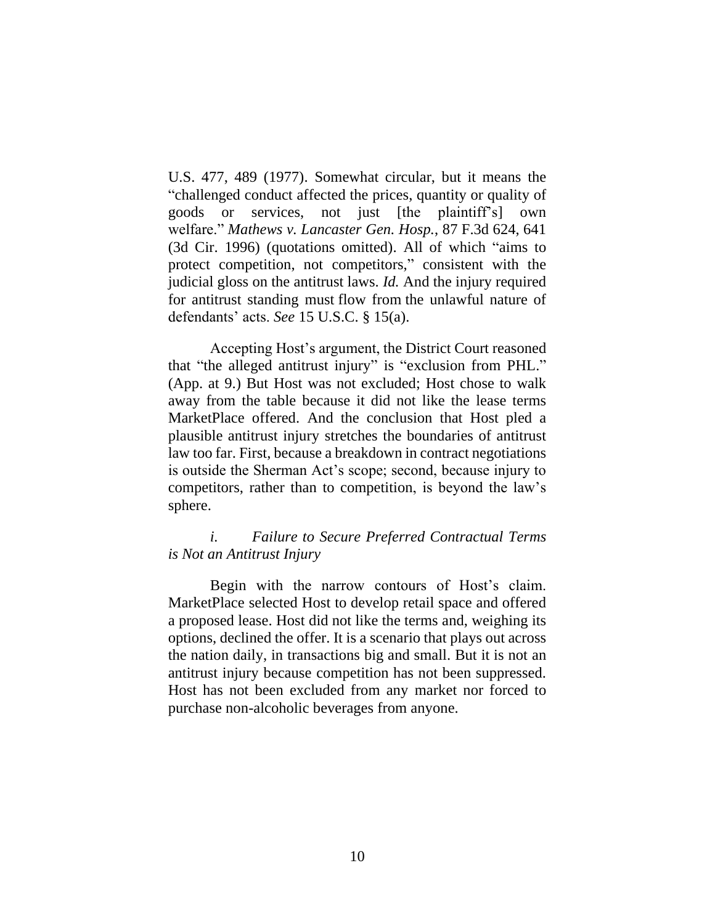U.S. 477, 489 (1977). Somewhat circular, but it means the "challenged conduct affected the prices, quantity or quality of goods or services, not just [the plaintiff's] own welfare." *Mathews v. Lancaster Gen. Hosp.*, 87 F.3d 624, 641 (3d Cir. 1996) (quotations omitted). All of which "aims to protect competition, not competitors," consistent with the judicial gloss on the antitrust laws. *Id.* And the injury required for antitrust standing must flow from the unlawful nature of defendants' acts. *See* 15 U.S.C. § 15(a).

Accepting Host's argument, the District Court reasoned that "the alleged antitrust injury" is "exclusion from PHL." (App. at 9.) But Host was not excluded; Host chose to walk away from the table because it did not like the lease terms MarketPlace offered. And the conclusion that Host pled a plausible antitrust injury stretches the boundaries of antitrust law too far. First, because a breakdown in contract negotiations is outside the Sherman Act's scope; second, because injury to competitors, rather than to competition, is beyond the law's sphere.

# *i. Failure to Secure Preferred Contractual Terms is Not an Antitrust Injury*

Begin with the narrow contours of Host's claim. MarketPlace selected Host to develop retail space and offered a proposed lease. Host did not like the terms and, weighing its options, declined the offer. It is a scenario that plays out across the nation daily, in transactions big and small. But it is not an antitrust injury because competition has not been suppressed. Host has not been excluded from any market nor forced to purchase non-alcoholic beverages from anyone.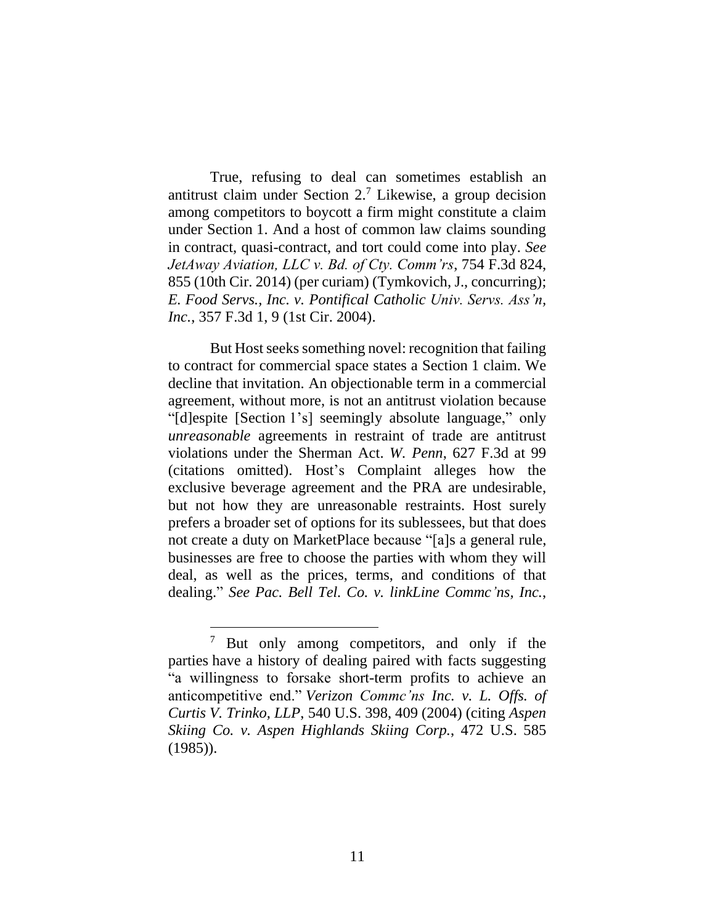True, refusing to deal can sometimes establish an antitrust claim under Section 2.<sup>7</sup> Likewise, a group decision among competitors to boycott a firm might constitute a claim under Section 1. And a host of common law claims sounding in contract, quasi-contract, and tort could come into play. *See JetAway Aviation, LLC v. Bd. of Cty. Comm'rs*, 754 F.3d 824, 855 (10th Cir. 2014) (per curiam) (Tymkovich, J., concurring); *E. Food Servs., Inc. v. Pontifical Catholic Univ. Servs. Ass'n, Inc.*, 357 F.3d 1, 9 (1st Cir. 2004).

But Host seeks something novel: recognition that failing to contract for commercial space states a Section 1 claim. We decline that invitation. An objectionable term in a commercial agreement, without more, is not an antitrust violation because "[d]espite [Section 1's] seemingly absolute language," only *unreasonable* agreements in restraint of trade are antitrust violations under the Sherman Act. *W. Penn*, 627 F.3d at 99 (citations omitted). Host's Complaint alleges how the exclusive beverage agreement and the PRA are undesirable, but not how they are unreasonable restraints. Host surely prefers a broader set of options for its sublessees, but that does not create a duty on MarketPlace because "[a]s a general rule, businesses are free to choose the parties with whom they will deal, as well as the prices, terms, and conditions of that dealing." *See Pac. Bell Tel. Co. v. linkLine Commc'ns, Inc.*,

<sup>&</sup>lt;sup>7</sup> But only among competitors, and only if the parties have a history of dealing paired with facts suggesting "a willingness to forsake short-term profits to achieve an anticompetitive end." *Verizon Commc'ns Inc. v. L. Offs. of Curtis V. Trinko, LLP*, 540 U.S. 398, 409 (2004) (citing *Aspen Skiing Co. v. Aspen Highlands Skiing Corp.*, 472 U.S. 585 (1985)).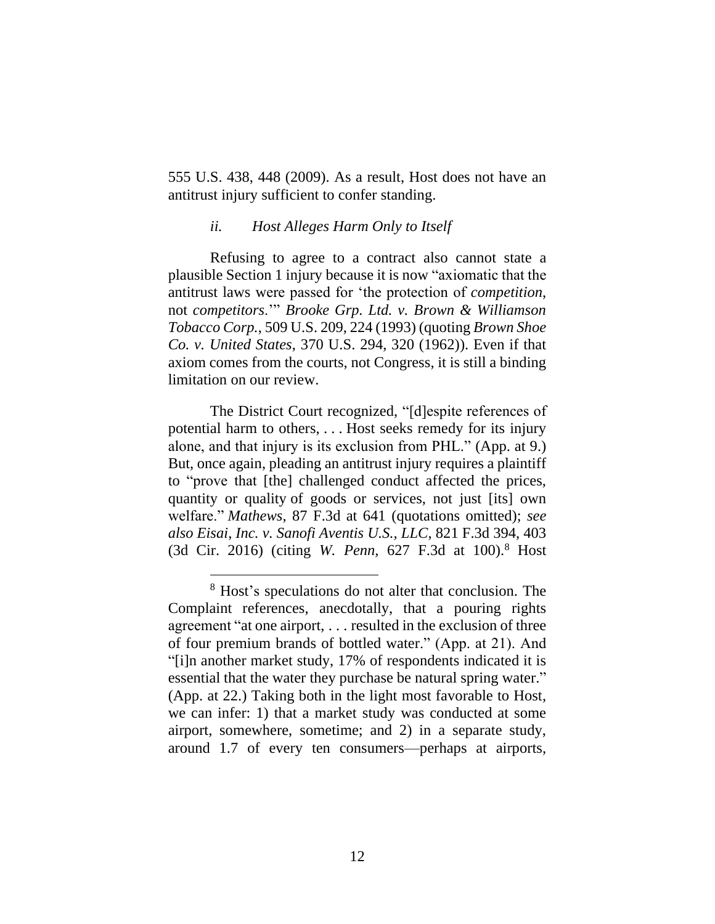555 U.S. 438, 448 (2009). As a result, Host does not have an antitrust injury sufficient to confer standing.

#### *ii. Host Alleges Harm Only to Itself*

Refusing to agree to a contract also cannot state a plausible Section 1 injury because it is now "axiomatic that the antitrust laws were passed for 'the protection of *competition*, not *competitors*.'" *Brooke Grp. Ltd. v. Brown & Williamson Tobacco Corp.*, 509 U.S. 209, 224 (1993) (quoting *Brown Shoe Co. v. United States*, 370 U.S. 294, 320 (1962)). Even if that axiom comes from the courts, not Congress, it is still a binding limitation on our review.

The District Court recognized, "[d]espite references of potential harm to others, . . . Host seeks remedy for its injury alone, and that injury is its exclusion from PHL." (App. at 9.) But, once again, pleading an antitrust injury requires a plaintiff to "prove that [the] challenged conduct affected the prices, quantity or quality of goods or services, not just [its] own welfare." *Mathews*, 87 F.3d at 641 (quotations omitted); *see also Eisai*, *Inc. v. Sanofi Aventis U.S., LLC*, 821 F.3d 394, 403 (3d Cir. 2016) (citing *W. Penn,* 627 F.3d at 100). <sup>8</sup> Host

<sup>8</sup> Host's speculations do not alter that conclusion. The Complaint references, anecdotally, that a pouring rights agreement "at one airport, . . . resulted in the exclusion of three of four premium brands of bottled water." (App. at 21). And "[i]n another market study, 17% of respondents indicated it is essential that the water they purchase be natural spring water." (App. at 22.) Taking both in the light most favorable to Host, we can infer: 1) that a market study was conducted at some airport, somewhere, sometime; and 2) in a separate study, around 1.7 of every ten consumers—perhaps at airports,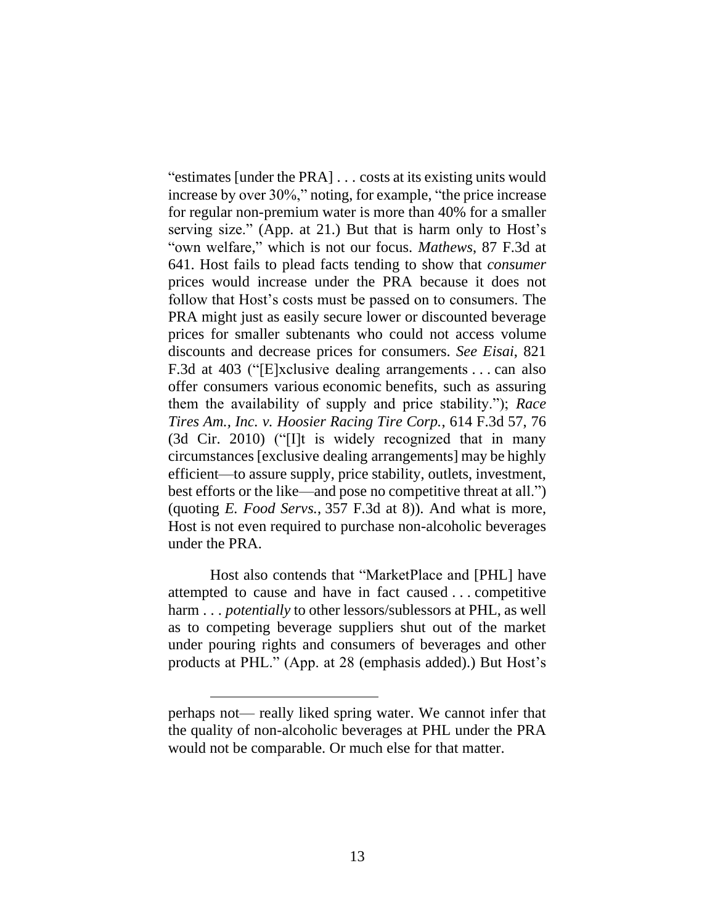"estimates [under the PRA] . . . costs at its existing units would increase by over 30%," noting, for example, "the price increase for regular non-premium water is more than 40% for a smaller serving size." (App. at 21.) But that is harm only to Host's "own welfare," which is not our focus. *Mathews*, 87 F.3d at 641. Host fails to plead facts tending to show that *consumer* prices would increase under the PRA because it does not follow that Host's costs must be passed on to consumers. The PRA might just as easily secure lower or discounted beverage prices for smaller subtenants who could not access volume discounts and decrease prices for consumers. *See Eisai*, 821 F.3d at 403 ("[E]xclusive dealing arrangements . . . can also offer consumers various economic benefits, such as assuring them the availability of supply and price stability."); *Race Tires Am., Inc. v. Hoosier Racing Tire Corp.*, 614 F.3d 57, 76 (3d Cir. 2010) ("[I]t is widely recognized that in many circumstances [exclusive dealing arrangements] may be highly efficient—to assure supply, price stability, outlets, investment, best efforts or the like—and pose no competitive threat at all.") (quoting *E. Food Servs.*, 357 F.3d at 8)). And what is more, Host is not even required to purchase non-alcoholic beverages under the PRA.

Host also contends that "MarketPlace and [PHL] have attempted to cause and have in fact caused . . . competitive harm . . *. potentially* to other lessors/sublessors at PHL, as well as to competing beverage suppliers shut out of the market under pouring rights and consumers of beverages and other products at PHL." (App. at 28 (emphasis added).) But Host's

perhaps not— really liked spring water. We cannot infer that the quality of non-alcoholic beverages at PHL under the PRA would not be comparable. Or much else for that matter.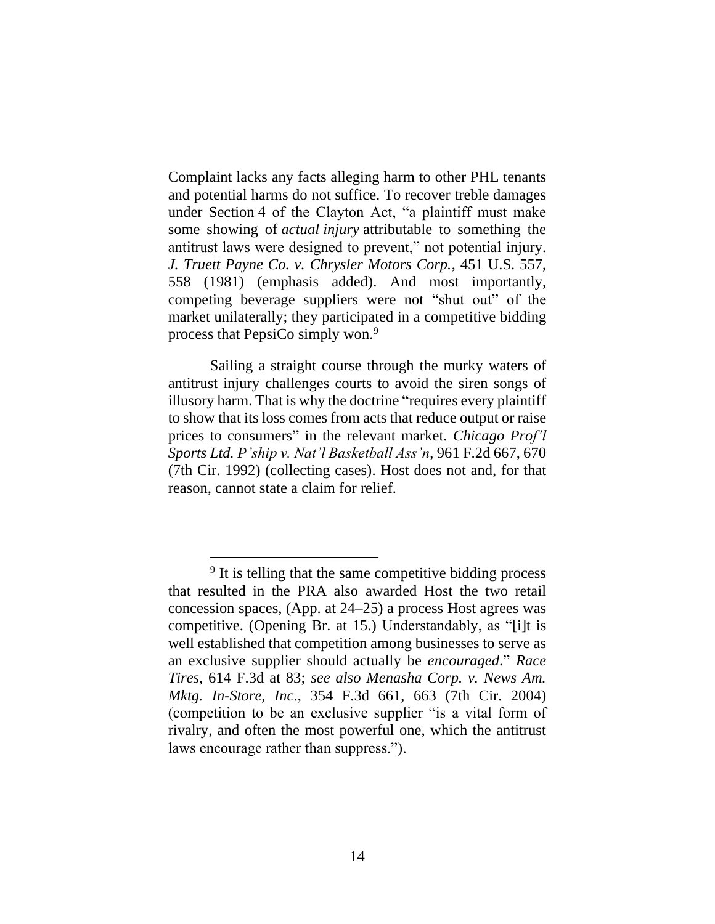Complaint lacks any facts alleging harm to other PHL tenants and potential harms do not suffice. To recover treble damages under Section 4 of the Clayton Act, "a plaintiff must make some showing of *actual injury* attributable to something the antitrust laws were designed to prevent," not potential injury. *J. Truett Payne Co. v. Chrysler Motors Corp.*, 451 U.S. 557, 558 (1981) (emphasis added). And most importantly, competing beverage suppliers were not "shut out" of the market unilaterally; they participated in a competitive bidding process that PepsiCo simply won.<sup>9</sup>

Sailing a straight course through the murky waters of antitrust injury challenges courts to avoid the siren songs of illusory harm. That is why the doctrine "requires every plaintiff to show that its loss comes from acts that reduce output or raise prices to consumers" in the relevant market. *Chicago Prof'l Sports Ltd. P'ship v. Nat'l Basketball Ass'n*, 961 F.2d 667, 670 (7th Cir. 1992) (collecting cases). Host does not and, for that reason, cannot state a claim for relief.

<sup>&</sup>lt;sup>9</sup> It is telling that the same competitive bidding process that resulted in the PRA also awarded Host the two retail concession spaces, (App. at 24–25) a process Host agrees was competitive. (Opening Br. at 15.) Understandably, as "[i]t is well established that competition among businesses to serve as an exclusive supplier should actually be *encouraged*." *Race Tires*, 614 F.3d at 83; *see also Menasha Corp. v. News Am. Mktg. In-Store, Inc*., 354 F.3d 661, 663 (7th Cir. 2004) (competition to be an exclusive supplier "is a vital form of rivalry, and often the most powerful one, which the antitrust laws encourage rather than suppress.").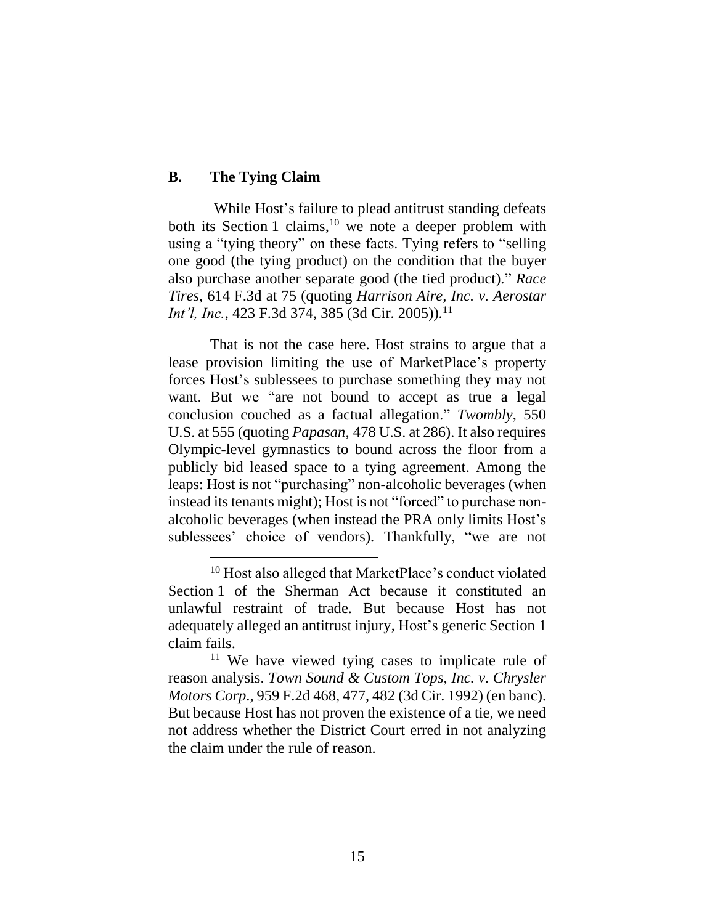## **B. The Tying Claim**

While Host's failure to plead antitrust standing defeats both its Section 1 claims,<sup>10</sup> we note a deeper problem with using a "tying theory" on these facts. Tying refers to "selling one good (the tying product) on the condition that the buyer also purchase another separate good (the tied product)." *Race Tires*, 614 F.3d at 75 (quoting *Harrison Aire, Inc. v. Aerostar Int'l, Inc.*, 423 F.3d 374, 385 (3d Cir. 2005)).<sup>11</sup>

That is not the case here. Host strains to argue that a lease provision limiting the use of MarketPlace's property forces Host's sublessees to purchase something they may not want. But we "are not bound to accept as true a legal conclusion couched as a factual allegation." *Twombly*, 550 U.S. at 555 (quoting *Papasan*, 478 U.S. at 286). It also requires Olympic-level gymnastics to bound across the floor from a publicly bid leased space to a tying agreement. Among the leaps: Host is not "purchasing" non-alcoholic beverages (when instead its tenants might); Host is not "forced" to purchase nonalcoholic beverages (when instead the PRA only limits Host's sublessees' choice of vendors). Thankfully, "we are not

<sup>10</sup> Host also alleged that MarketPlace's conduct violated Section 1 of the Sherman Act because it constituted an unlawful restraint of trade. But because Host has not adequately alleged an antitrust injury, Host's generic Section 1 claim fails.

<sup>11</sup> We have viewed tying cases to implicate rule of reason analysis. *Town Sound & Custom Tops, Inc. v. Chrysler Motors Corp*., 959 F.2d 468, 477, 482 (3d Cir. 1992) (en banc). But because Host has not proven the existence of a tie, we need not address whether the District Court erred in not analyzing the claim under the rule of reason.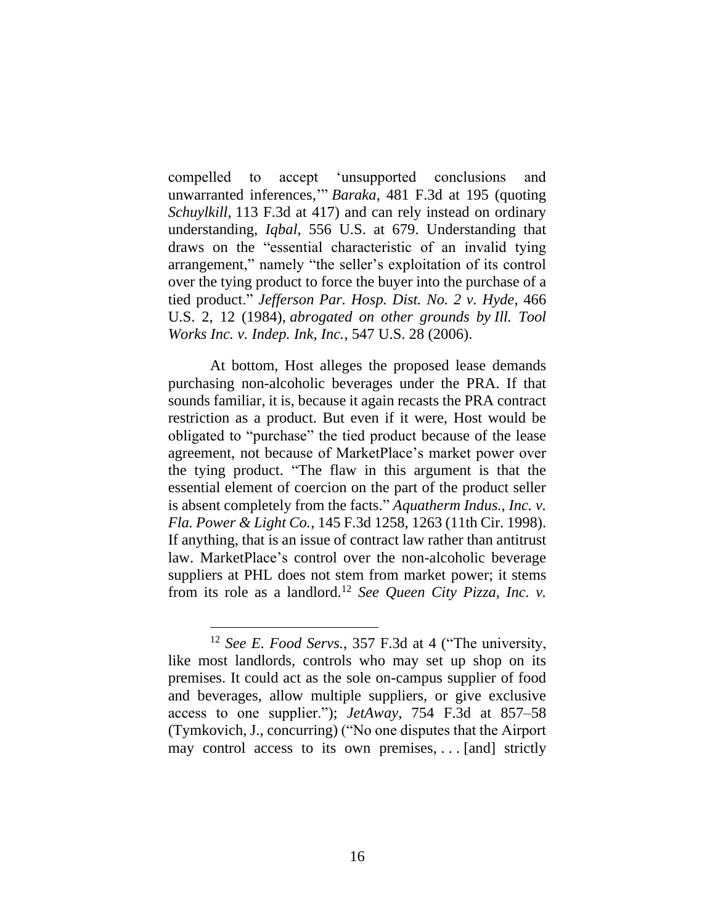compelled to accept 'unsupported conclusions and unwarranted inferences,'" *Baraka*, 481 F.3d at 195 (quoting *Schuylkill,* 113 F.3d at 417) and can rely instead on ordinary understanding, *Iqbal*, 556 U.S. at 679. Understanding that draws on the "essential characteristic of an invalid tying arrangement," namely "the seller's exploitation of its control over the tying product to force the buyer into the purchase of a tied product." *Jefferson Par. Hosp. Dist. No. 2 v. Hyde*, 466 U.S. 2, 12 (1984), *abrogated on other grounds by Ill. Tool Works Inc. v. Indep. Ink, Inc.*, 547 U.S. 28 (2006).

At bottom, Host alleges the proposed lease demands purchasing non-alcoholic beverages under the PRA. If that sounds familiar, it is, because it again recasts the PRA contract restriction as a product. But even if it were, Host would be obligated to "purchase" the tied product because of the lease agreement, not because of MarketPlace's market power over the tying product. "The flaw in this argument is that the essential element of coercion on the part of the product seller is absent completely from the facts." *Aquatherm Indus., Inc. v. Fla. Power & Light Co.*, 145 F.3d 1258, 1263 (11th Cir. 1998). If anything, that is an issue of contract law rather than antitrust law. MarketPlace's control over the non-alcoholic beverage suppliers at PHL does not stem from market power; it stems from its role as a landlord.<sup>12</sup> *See Queen City Pizza, Inc. v.* 

<sup>12</sup> *See E. Food Servs.*, 357 F.3d at 4 ("The university, like most landlords, controls who may set up shop on its premises. It could act as the sole on-campus supplier of food and beverages, allow multiple suppliers, or give exclusive access to one supplier."); *JetAway*, 754 F.3d at 857–58 (Tymkovich, J., concurring) ("No one disputes that the Airport may control access to its own premises, . . . [and] strictly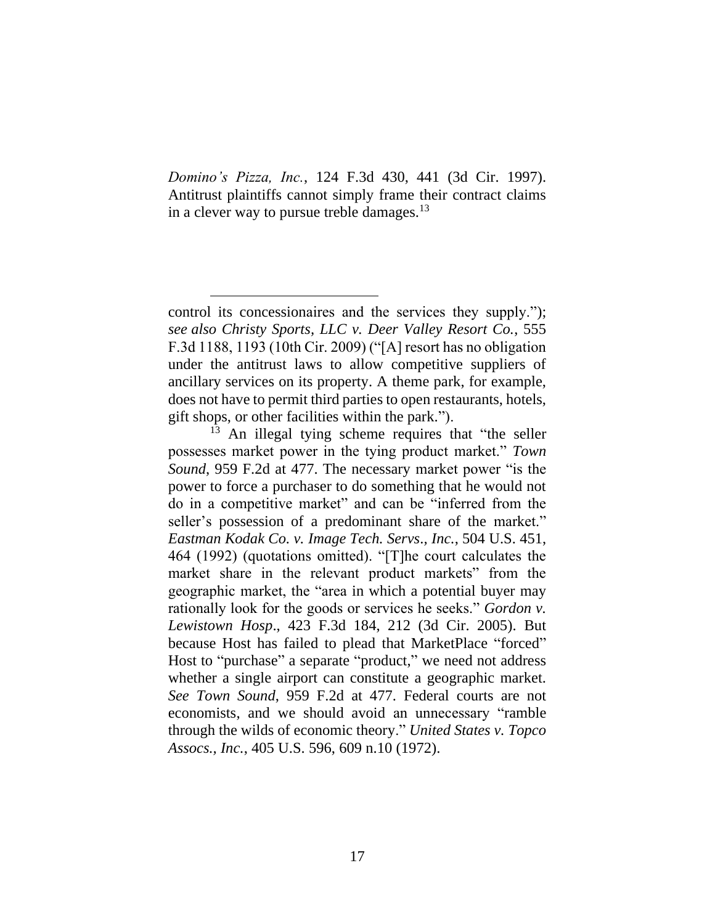*Domino's Pizza, Inc.*, 124 F.3d 430, 441 (3d Cir. 1997). Antitrust plaintiffs cannot simply frame their contract claims in a clever way to pursue treble damages.<sup>13</sup>

<sup>13</sup> An illegal tying scheme requires that "the seller possesses market power in the tying product market." *Town Sound*, 959 F.2d at 477. The necessary market power "is the power to force a purchaser to do something that he would not do in a competitive market" and can be "inferred from the seller's possession of a predominant share of the market." *Eastman Kodak Co. v. Image Tech. Servs*.*, Inc.*, 504 U.S. 451, 464 (1992) (quotations omitted). "[T]he court calculates the market share in the relevant product markets" from the geographic market, the "area in which a potential buyer may rationally look for the goods or services he seeks." *Gordon v. Lewistown Hosp*., 423 F.3d 184, 212 (3d Cir. 2005). But because Host has failed to plead that MarketPlace "forced" Host to "purchase" a separate "product," we need not address whether a single airport can constitute a geographic market. *See Town Sound*, 959 F.2d at 477. Federal courts are not economists, and we should avoid an unnecessary "ramble through the wilds of economic theory." *United States v. Topco Assocs., Inc.*, 405 U.S. 596, 609 n.10 (1972).

control its concessionaires and the services they supply."); *see also Christy Sports, LLC v. Deer Valley Resort Co.*, 555 F.3d 1188, 1193 (10th Cir. 2009) ("[A] resort has no obligation under the antitrust laws to allow competitive suppliers of ancillary services on its property. A theme park, for example, does not have to permit third parties to open restaurants, hotels, gift shops, or other facilities within the park.").